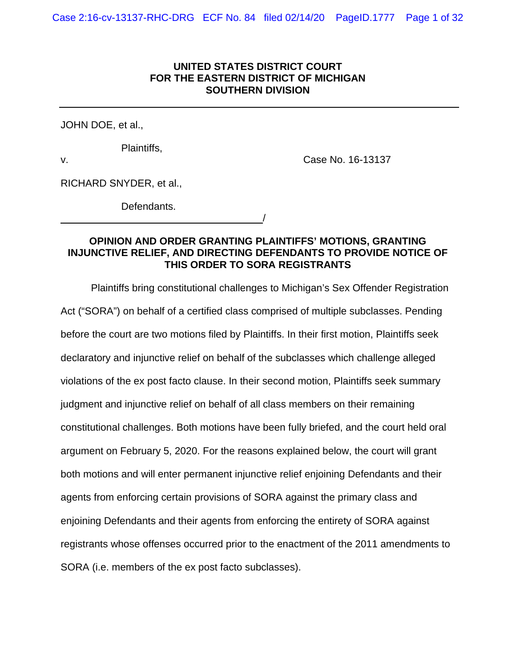## **UNITED STATES DISTRICT COURT FOR THE EASTERN DISTRICT OF MICHIGAN SOUTHERN DIVISION**

JOHN DOE, et al.,

Plaintiffs,

v. Case No. 16-13137

RICHARD SNYDER, et al.,

Defendants.

<u>/</u>

# **OPINION AND ORDER GRANTING PLAINTIFFS' MOTIONS, GRANTING INJUNCTIVE RELIEF, AND DIRECTING DEFENDANTS TO PROVIDE NOTICE OF THIS ORDER TO SORA REGISTRANTS**

Plaintiffs bring constitutional challenges to Michigan's Sex Offender Registration Act ("SORA") on behalf of a certified class comprised of multiple subclasses. Pending before the court are two motions filed by Plaintiffs. In their first motion, Plaintiffs seek declaratory and injunctive relief on behalf of the subclasses which challenge alleged violations of the ex post facto clause. In their second motion, Plaintiffs seek summary judgment and injunctive relief on behalf of all class members on their remaining constitutional challenges. Both motions have been fully briefed, and the court held oral argument on February 5, 2020. For the reasons explained below, the court will grant both motions and will enter permanent injunctive relief enjoining Defendants and their agents from enforcing certain provisions of SORA against the primary class and enjoining Defendants and their agents from enforcing the entirety of SORA against registrants whose offenses occurred prior to the enactment of the 2011 amendments to SORA (i.e. members of the ex post facto subclasses).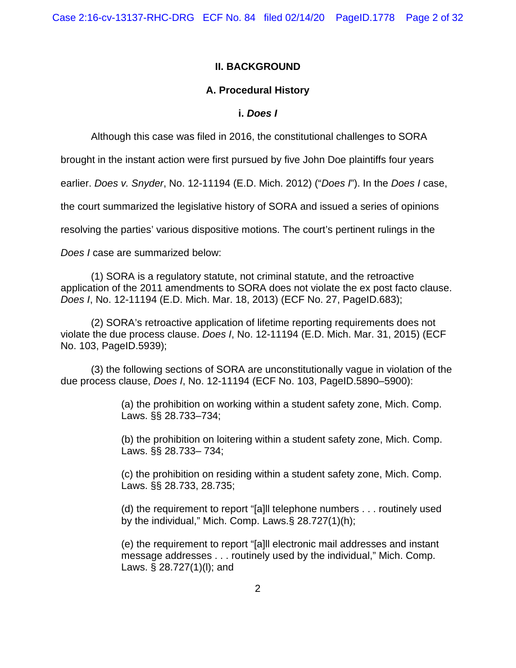# **II. BACKGROUND**

# **A. Procedural History**

## **i.** *Does I*

Although this case was filed in 2016, the constitutional challenges to SORA

brought in the instant action were first pursued by five John Doe plaintiffs four years

earlier. *Does v. Snyder*, No. 12-11194 (E.D. Mich. 2012) ("*Does I*"). In the *Does I* case,

the court summarized the legislative history of SORA and issued a series of opinions

resolving the parties' various dispositive motions. The court's pertinent rulings in the

*Does I* case are summarized below:

(1) SORA is a regulatory statute, not criminal statute, and the retroactive application of the 2011 amendments to SORA does not violate the ex post facto clause. *Does I*, No. 12-11194 (E.D. Mich. Mar. 18, 2013) (ECF No. 27, PageID.683);

(2) SORA's retroactive application of lifetime reporting requirements does not violate the due process clause. *Does I*, No. 12-11194 (E.D. Mich. Mar. 31, 2015) (ECF No. 103, PageID.5939);

(3) the following sections of SORA are unconstitutionally vague in violation of the due process clause, *Does I*, No. 12-11194 (ECF No. 103, PageID.5890–5900):

> (a) the prohibition on working within a student safety zone, Mich. Comp. Laws. §§ 28.733–734;

> (b) the prohibition on loitering within a student safety zone, Mich. Comp. Laws. §§ 28.733– 734;

> (c) the prohibition on residing within a student safety zone, Mich. Comp. Laws. §§ 28.733, 28.735;

> (d) the requirement to report "[a]ll telephone numbers . . . routinely used by the individual," Mich. Comp. Laws.§ 28.727(1)(h);

> (e) the requirement to report "[a]ll electronic mail addresses and instant message addresses . . . routinely used by the individual," Mich. Comp. Laws. § 28.727(1)(l); and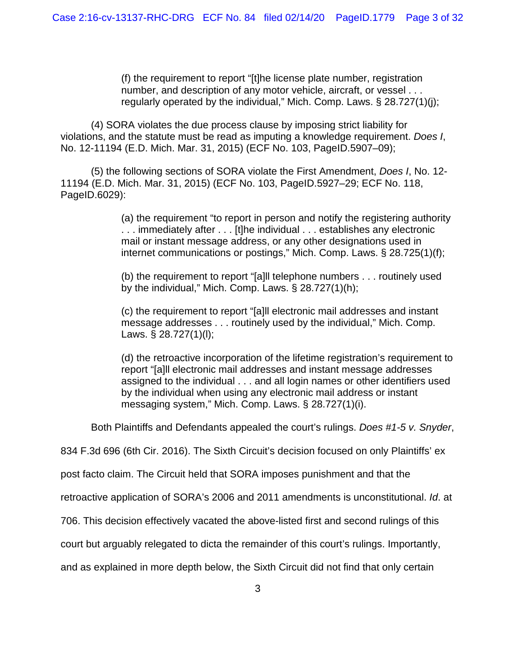(f) the requirement to report "[t]he license plate number, registration number, and description of any motor vehicle, aircraft, or vessel . . . regularly operated by the individual," Mich. Comp. Laws. § 28.727(1)(j);

(4) SORA violates the due process clause by imposing strict liability for violations, and the statute must be read as imputing a knowledge requirement. *Does I*, No. 12-11194 (E.D. Mich. Mar. 31, 2015) (ECF No. 103, PageID.5907–09);

(5) the following sections of SORA violate the First Amendment, *Does I*, No. 12- 11194 (E.D. Mich. Mar. 31, 2015) (ECF No. 103, PageID.5927–29; ECF No. 118, PageID.6029):

> (a) the requirement "to report in person and notify the registering authority . . . immediately after . . . [t]he individual . . . establishes any electronic mail or instant message address, or any other designations used in internet communications or postings," Mich. Comp. Laws. § 28.725(1)(f);

(b) the requirement to report "[a]ll telephone numbers . . . routinely used by the individual," Mich. Comp. Laws. § 28.727(1)(h);

(c) the requirement to report "[a]ll electronic mail addresses and instant message addresses . . . routinely used by the individual," Mich. Comp. Laws. § 28.727(1)(l);

(d) the retroactive incorporation of the lifetime registration's requirement to report "[a]ll electronic mail addresses and instant message addresses assigned to the individual . . . and all login names or other identifiers used by the individual when using any electronic mail address or instant messaging system," Mich. Comp. Laws. § 28.727(1)(i).

Both Plaintiffs and Defendants appealed the court's rulings. *Does #1-5 v. Snyder*,

834 F.3d 696 (6th Cir. 2016). The Sixth Circuit's decision focused on only Plaintiffs' ex

post facto claim. The Circuit held that SORA imposes punishment and that the

retroactive application of SORA's 2006 and 2011 amendments is unconstitutional. *Id*. at

706. This decision effectively vacated the above-listed first and second rulings of this

court but arguably relegated to dicta the remainder of this court's rulings. Importantly,

and as explained in more depth below, the Sixth Circuit did not find that only certain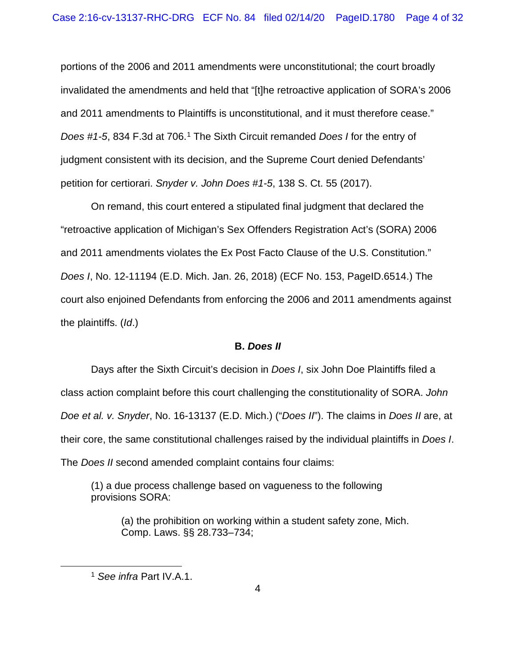portions of the 2006 and 2011 amendments were unconstitutional; the court broadly invalidated the amendments and held that "[t]he retroactive application of SORA's 2006 and 2011 amendments to Plaintiffs is unconstitutional, and it must therefore cease." *Does #1-5*, 834 F.3d at 706.[1](#page-3-0) The Sixth Circuit remanded *Does I* for the entry of judgment consistent with its decision, and the Supreme Court denied Defendants' petition for certiorari. *Snyder v. John Does #1-5*, 138 S. Ct. 55 (2017).

On remand, this court entered a stipulated final judgment that declared the "retroactive application of Michigan's Sex Offenders Registration Act's (SORA) 2006 and 2011 amendments violates the Ex Post Facto Clause of the U.S. Constitution." *Does I*, No. 12-11194 (E.D. Mich. Jan. 26, 2018) (ECF No. 153, PageID.6514.) The court also enjoined Defendants from enforcing the 2006 and 2011 amendments against the plaintiffs. (*Id*.)

#### **B.** *Does II*

Days after the Sixth Circuit's decision in *Does I*, six John Doe Plaintiffs filed a class action complaint before this court challenging the constitutionality of SORA. *John Doe et al. v. Snyder*, No. 16-13137 (E.D. Mich.) ("*Does II*"). The claims in *Does II* are, at their core, the same constitutional challenges raised by the individual plaintiffs in *Does I*. The *Does II* second amended complaint contains four claims:

(1) a due process challenge based on vagueness to the following provisions SORA:

(a) the prohibition on working within a student safety zone, Mich. Comp. Laws. §§ 28.733–734;

<span id="page-3-0"></span><sup>1</sup> *See infra* Part IV.A.1.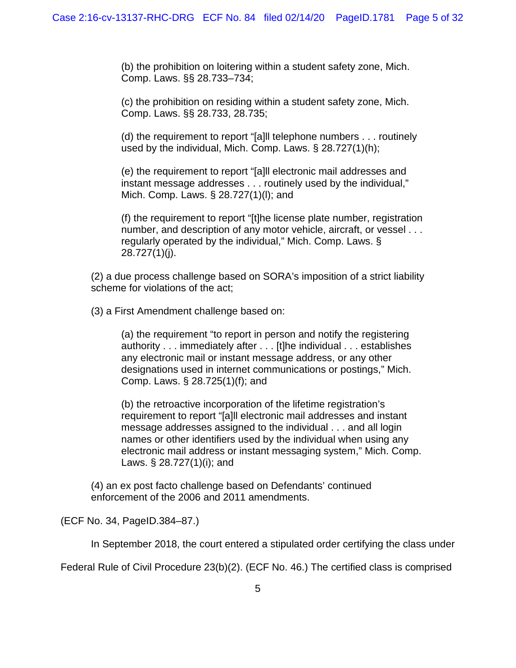(b) the prohibition on loitering within a student safety zone, Mich. Comp. Laws. §§ 28.733–734;

(c) the prohibition on residing within a student safety zone, Mich. Comp. Laws. §§ 28.733, 28.735;

(d) the requirement to report "[a]ll telephone numbers . . . routinely used by the individual, Mich. Comp. Laws. § 28.727(1)(h);

(e) the requirement to report "[a]ll electronic mail addresses and instant message addresses . . . routinely used by the individual," Mich. Comp. Laws. § 28.727(1)(l); and

(f) the requirement to report "[t]he license plate number, registration number, and description of any motor vehicle, aircraft, or vessel . . . regularly operated by the individual," Mich. Comp. Laws. § 28.727(1)(j).

(2) a due process challenge based on SORA's imposition of a strict liability scheme for violations of the act;

(3) a First Amendment challenge based on:

(a) the requirement "to report in person and notify the registering authority . . . immediately after . . . [t]he individual . . . establishes any electronic mail or instant message address, or any other designations used in internet communications or postings," Mich. Comp. Laws. § 28.725(1)(f); and

(b) the retroactive incorporation of the lifetime registration's requirement to report "[a]ll electronic mail addresses and instant message addresses assigned to the individual . . . and all login names or other identifiers used by the individual when using any electronic mail address or instant messaging system," Mich. Comp. Laws. § 28.727(1)(i); and

(4) an ex post facto challenge based on Defendants' continued enforcement of the 2006 and 2011 amendments.

(ECF No. 34, PageID.384–87.)

In September 2018, the court entered a stipulated order certifying the class under

Federal Rule of Civil Procedure 23(b)(2). (ECF No. 46.) The certified class is comprised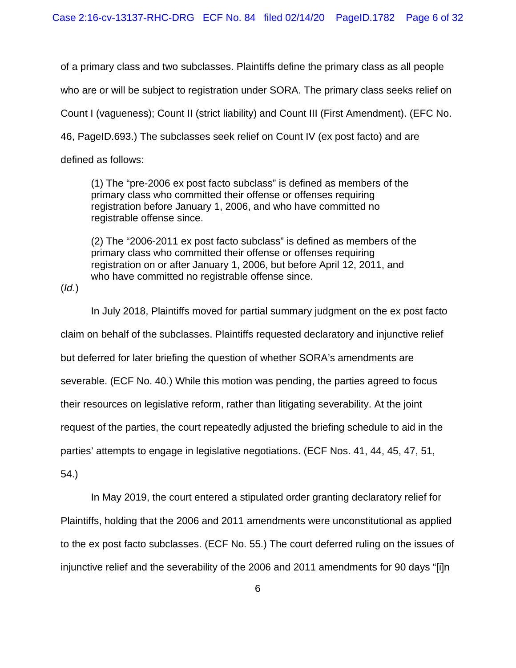of a primary class and two subclasses. Plaintiffs define the primary class as all people who are or will be subject to registration under SORA. The primary class seeks relief on Count I (vagueness); Count II (strict liability) and Count III (First Amendment). (EFC No. 46, PageID.693.) The subclasses seek relief on Count IV (ex post facto) and are defined as follows:

(1) The "pre-2006 ex post facto subclass" is defined as members of the primary class who committed their offense or offenses requiring registration before January 1, 2006, and who have committed no registrable offense since.

(2) The "2006-2011 ex post facto subclass" is defined as members of the primary class who committed their offense or offenses requiring registration on or after January 1, 2006, but before April 12, 2011, and who have committed no registrable offense since.

(*Id*.)

In July 2018, Plaintiffs moved for partial summary judgment on the ex post facto claim on behalf of the subclasses. Plaintiffs requested declaratory and injunctive relief but deferred for later briefing the question of whether SORA's amendments are severable. (ECF No. 40.) While this motion was pending, the parties agreed to focus their resources on legislative reform, rather than litigating severability. At the joint request of the parties, the court repeatedly adjusted the briefing schedule to aid in the parties' attempts to engage in legislative negotiations. (ECF Nos. 41, 44, 45, 47, 51,

54.)

In May 2019, the court entered a stipulated order granting declaratory relief for Plaintiffs, holding that the 2006 and 2011 amendments were unconstitutional as applied to the ex post facto subclasses. (ECF No. 55.) The court deferred ruling on the issues of injunctive relief and the severability of the 2006 and 2011 amendments for 90 days "[i]n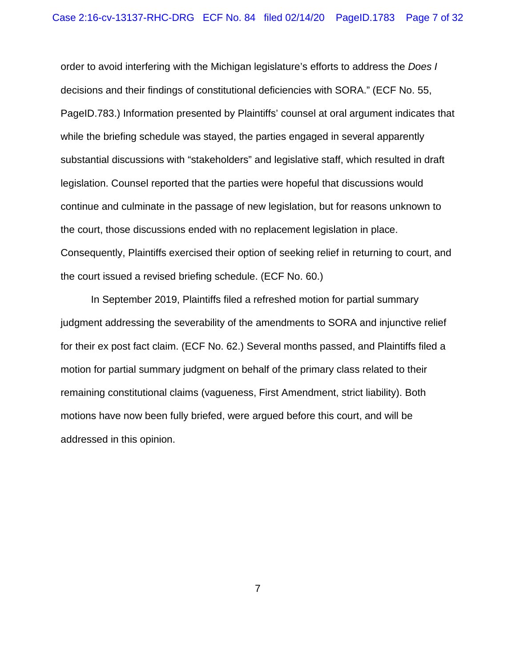order to avoid interfering with the Michigan legislature's efforts to address the *Does I* decisions and their findings of constitutional deficiencies with SORA." (ECF No. 55, PageID.783.) Information presented by Plaintiffs' counsel at oral argument indicates that while the briefing schedule was stayed, the parties engaged in several apparently substantial discussions with "stakeholders" and legislative staff, which resulted in draft legislation. Counsel reported that the parties were hopeful that discussions would continue and culminate in the passage of new legislation, but for reasons unknown to the court, those discussions ended with no replacement legislation in place. Consequently, Plaintiffs exercised their option of seeking relief in returning to court, and the court issued a revised briefing schedule. (ECF No. 60.)

In September 2019, Plaintiffs filed a refreshed motion for partial summary judgment addressing the severability of the amendments to SORA and injunctive relief for their ex post fact claim. (ECF No. 62.) Several months passed, and Plaintiffs filed a motion for partial summary judgment on behalf of the primary class related to their remaining constitutional claims (vagueness, First Amendment, strict liability). Both motions have now been fully briefed, were argued before this court, and will be addressed in this opinion.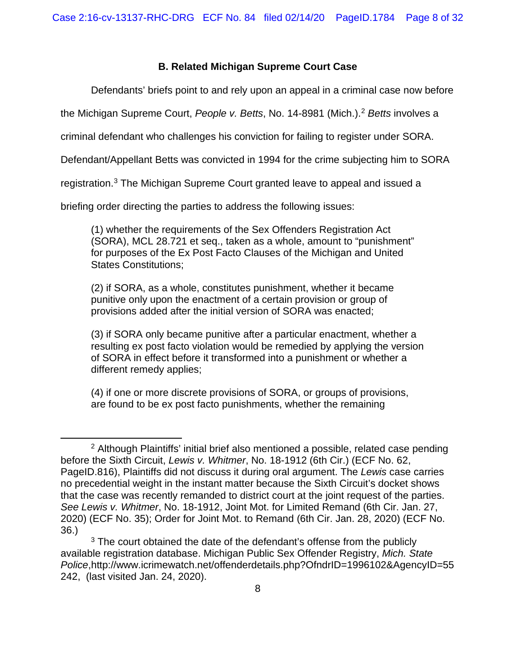# **B. Related Michigan Supreme Court Case**

Defendants' briefs point to and rely upon an appeal in a criminal case now before

the Michigan Supreme Court, *People v. Betts*, No. 14-8981 (Mich.). [2](#page-7-0) *Betts* involves a

criminal defendant who challenges his conviction for failing to register under SORA.

Defendant/Appellant Betts was convicted in 1994 for the crime subjecting him to SORA

registration.[3](#page-7-1) The Michigan Supreme Court granted leave to appeal and issued a

briefing order directing the parties to address the following issues:

(1) whether the requirements of the Sex Offenders Registration Act (SORA), MCL 28.721 et seq., taken as a whole, amount to "punishment" for purposes of the Ex Post Facto Clauses of the Michigan and United States Constitutions;

(2) if SORA, as a whole, constitutes punishment, whether it became punitive only upon the enactment of a certain provision or group of provisions added after the initial version of SORA was enacted;

(3) if SORA only became punitive after a particular enactment, whether a resulting ex post facto violation would be remedied by applying the version of SORA in effect before it transformed into a punishment or whether a different remedy applies;

(4) if one or more discrete provisions of SORA, or groups of provisions, are found to be ex post facto punishments, whether the remaining

<span id="page-7-0"></span><sup>&</sup>lt;sup>2</sup> Although Plaintiffs' initial brief also mentioned a possible, related case pending before the Sixth Circuit, *Lewis v. Whitmer*, No. 18-1912 (6th Cir.) (ECF No. 62, PageID.816), Plaintiffs did not discuss it during oral argument. The *Lewis* case carries no precedential weight in the instant matter because the Sixth Circuit's docket shows that the case was recently remanded to district court at the joint request of the parties. *See Lewis v. Whitmer*, No. 18-1912, Joint Mot. for Limited Remand (6th Cir. Jan. 27, 2020) (ECF No. 35); Order for Joint Mot. to Remand (6th Cir. Jan. 28, 2020) (ECF No. 36.)

<span id="page-7-1"></span><sup>&</sup>lt;sup>3</sup> The court obtained the date of the defendant's offense from the publicly available registration database. Michigan Public Sex Offender Registry, *Mich. State Police*,http://www.icrimewatch.net/offenderdetails.php?OfndrID=1996102&AgencyID=55 242, (last visited Jan. 24, 2020).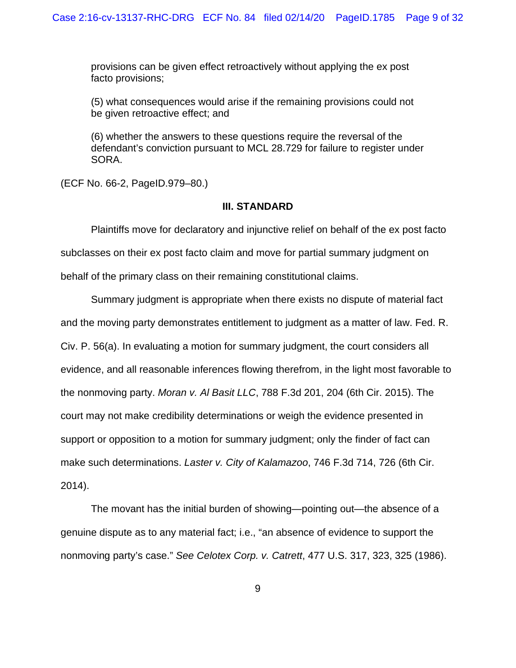provisions can be given effect retroactively without applying the ex post facto provisions;

(5) what consequences would arise if the remaining provisions could not be given retroactive effect; and

(6) whether the answers to these questions require the reversal of the defendant's conviction pursuant to MCL 28.729 for failure to register under SORA.

(ECF No. 66-2, PageID.979–80.)

### **III. STANDARD**

Plaintiffs move for declaratory and injunctive relief on behalf of the ex post facto subclasses on their ex post facto claim and move for partial summary judgment on behalf of the primary class on their remaining constitutional claims.

Summary judgment is appropriate when there exists no dispute of material fact and the moving party demonstrates entitlement to judgment as a matter of law. Fed. R. Civ. P. 56(a). In evaluating a motion for summary judgment, the court considers all evidence, and all reasonable inferences flowing therefrom, in the light most favorable to the nonmoving party. *Moran v. Al Basit LLC*, 788 F.3d 201, 204 (6th Cir. 2015). The court may not make credibility determinations or weigh the evidence presented in support or opposition to a motion for summary judgment; only the finder of fact can make such determinations. *Laster v. City of Kalamazoo*, 746 F.3d 714, 726 (6th Cir. 2014).

The movant has the initial burden of showing—pointing out—the absence of a genuine dispute as to any material fact; i.e., "an absence of evidence to support the nonmoving party's case." *See Celotex Corp. v. Catrett*, 477 U.S. 317, 323, 325 (1986).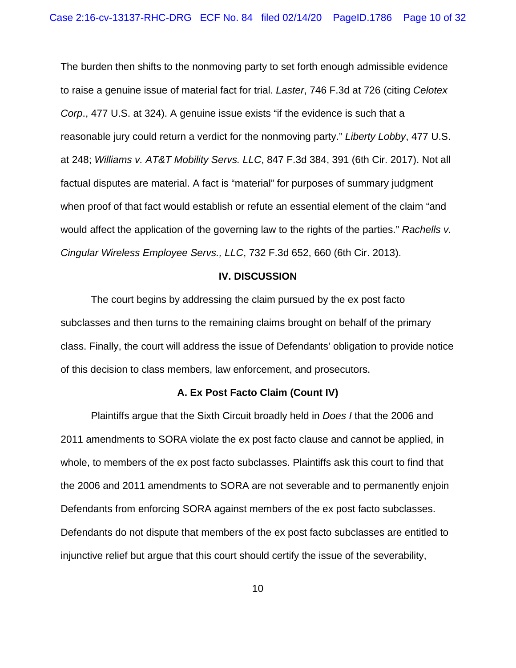The burden then shifts to the nonmoving party to set forth enough admissible evidence to raise a genuine issue of material fact for trial. *Laster*, 746 F.3d at 726 (citing *Celotex Corp*., 477 U.S. at 324). A genuine issue exists "if the evidence is such that a reasonable jury could return a verdict for the nonmoving party." *Liberty Lobby*, 477 U.S. at 248; *Williams v. AT&T Mobility Servs. LLC*, 847 F.3d 384, 391 (6th Cir. 2017). Not all factual disputes are material. A fact is "material" for purposes of summary judgment when proof of that fact would establish or refute an essential element of the claim "and would affect the application of the governing law to the rights of the parties." *Rachells v. Cingular Wireless Employee Servs., LLC*, 732 F.3d 652, 660 (6th Cir. 2013).

#### **IV. DISCUSSION**

The court begins by addressing the claim pursued by the ex post facto subclasses and then turns to the remaining claims brought on behalf of the primary class. Finally, the court will address the issue of Defendants' obligation to provide notice of this decision to class members, law enforcement, and prosecutors.

#### **A. Ex Post Facto Claim (Count IV)**

Plaintiffs argue that the Sixth Circuit broadly held in *Does I* that the 2006 and 2011 amendments to SORA violate the ex post facto clause and cannot be applied, in whole, to members of the ex post facto subclasses. Plaintiffs ask this court to find that the 2006 and 2011 amendments to SORA are not severable and to permanently enjoin Defendants from enforcing SORA against members of the ex post facto subclasses. Defendants do not dispute that members of the ex post facto subclasses are entitled to injunctive relief but argue that this court should certify the issue of the severability,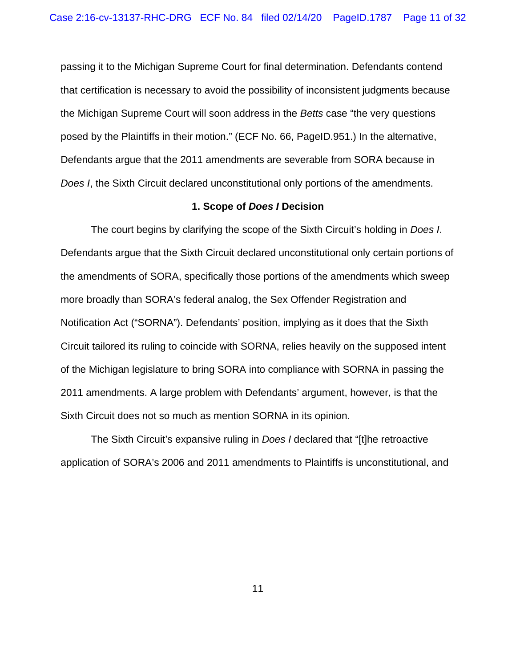passing it to the Michigan Supreme Court for final determination. Defendants contend that certification is necessary to avoid the possibility of inconsistent judgments because the Michigan Supreme Court will soon address in the *Betts* case "the very questions posed by the Plaintiffs in their motion." (ECF No. 66, PageID.951.) In the alternative, Defendants argue that the 2011 amendments are severable from SORA because in *Does I*, the Sixth Circuit declared unconstitutional only portions of the amendments.

#### **1. Scope of** *Does I* **Decision**

The court begins by clarifying the scope of the Sixth Circuit's holding in *Does I*. Defendants argue that the Sixth Circuit declared unconstitutional only certain portions of the amendments of SORA, specifically those portions of the amendments which sweep more broadly than SORA's federal analog, the Sex Offender Registration and Notification Act ("SORNA"). Defendants' position, implying as it does that the Sixth Circuit tailored its ruling to coincide with SORNA, relies heavily on the supposed intent of the Michigan legislature to bring SORA into compliance with SORNA in passing the 2011 amendments. A large problem with Defendants' argument, however, is that the Sixth Circuit does not so much as mention SORNA in its opinion.

The Sixth Circuit's expansive ruling in *Does I* declared that "[t]he retroactive application of SORA's 2006 and 2011 amendments to Plaintiffs is unconstitutional, and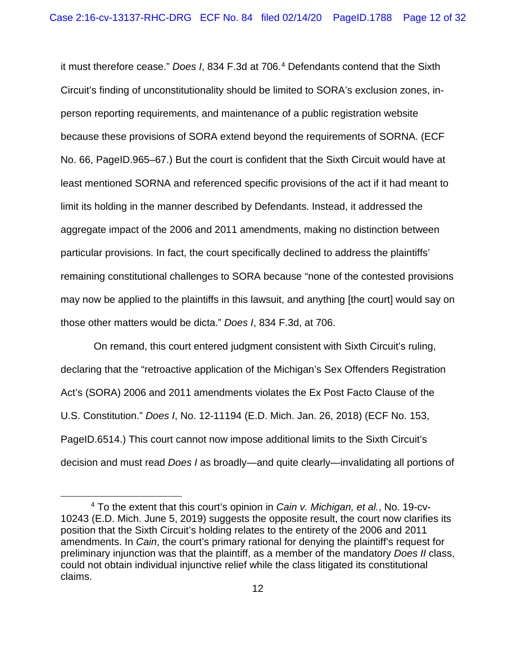it must therefore cease." *Does I*, 834 F.3d at 706. [4](#page-11-0) Defendants contend that the Sixth Circuit's finding of unconstitutionality should be limited to SORA's exclusion zones, inperson reporting requirements, and maintenance of a public registration website because these provisions of SORA extend beyond the requirements of SORNA. (ECF No. 66, PageID.965–67.) But the court is confident that the Sixth Circuit would have at least mentioned SORNA and referenced specific provisions of the act if it had meant to limit its holding in the manner described by Defendants. Instead, it addressed the aggregate impact of the 2006 and 2011 amendments, making no distinction between particular provisions. In fact, the court specifically declined to address the plaintiffs' remaining constitutional challenges to SORA because "none of the contested provisions may now be applied to the plaintiffs in this lawsuit, and anything [the court] would say on those other matters would be dicta." *Does I*, 834 F.3d, at 706.

On remand, this court entered judgment consistent with Sixth Circuit's ruling, declaring that the "retroactive application of the Michigan's Sex Offenders Registration Act's (SORA) 2006 and 2011 amendments violates the Ex Post Facto Clause of the U.S. Constitution." *Does I*, No. 12-11194 (E.D. Mich. Jan. 26, 2018) (ECF No. 153, PageID.6514.) This court cannot now impose additional limits to the Sixth Circuit's decision and must read *Does I* as broadly—and quite clearly—invalidating all portions of

<span id="page-11-0"></span><sup>4</sup> To the extent that this court's opinion in *Cain v. Michigan, et al.*, No. 19-cv-10243 (E.D. Mich. June 5, 2019) suggests the opposite result, the court now clarifies its position that the Sixth Circuit's holding relates to the entirety of the 2006 and 2011 amendments. In *Cain*, the court's primary rational for denying the plaintiff's request for preliminary injunction was that the plaintiff, as a member of the mandatory *Does II* class, could not obtain individual injunctive relief while the class litigated its constitutional claims.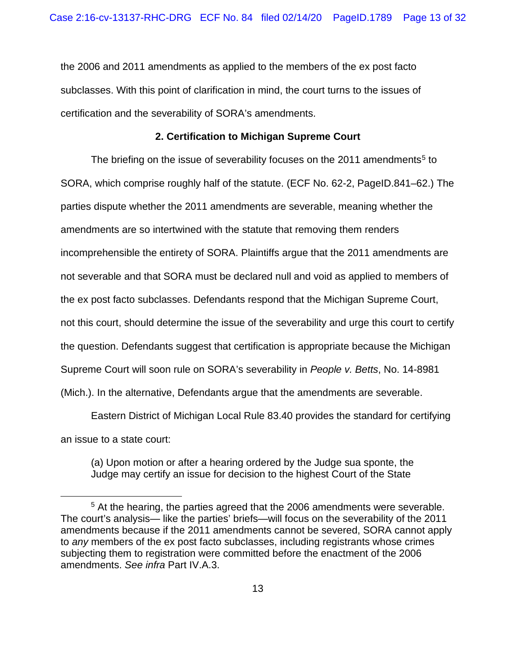the 2006 and 2011 amendments as applied to the members of the ex post facto subclasses. With this point of clarification in mind, the court turns to the issues of certification and the severability of SORA's amendments.

### **2. Certification to Michigan Supreme Court**

The briefing on the issue of severability focuses on the 2011 amendments<sup>[5](#page-12-0)</sup> to SORA, which comprise roughly half of the statute. (ECF No. 62-2, PageID.841–62.) The parties dispute whether the 2011 amendments are severable, meaning whether the amendments are so intertwined with the statute that removing them renders incomprehensible the entirety of SORA. Plaintiffs argue that the 2011 amendments are not severable and that SORA must be declared null and void as applied to members of the ex post facto subclasses. Defendants respond that the Michigan Supreme Court, not this court, should determine the issue of the severability and urge this court to certify the question. Defendants suggest that certification is appropriate because the Michigan Supreme Court will soon rule on SORA's severability in *People v. Betts*, No. 14-8981 (Mich.). In the alternative, Defendants argue that the amendments are severable.

Eastern District of Michigan Local Rule 83.40 provides the standard for certifying an issue to a state court:

(a) Upon motion or after a hearing ordered by the Judge sua sponte, the Judge may certify an issue for decision to the highest Court of the State

<span id="page-12-0"></span><sup>&</sup>lt;sup>5</sup> At the hearing, the parties agreed that the 2006 amendments were severable. The court's analysis— like the parties' briefs—will focus on the severability of the 2011 amendments because if the 2011 amendments cannot be severed, SORA cannot apply to *any* members of the ex post facto subclasses, including registrants whose crimes subjecting them to registration were committed before the enactment of the 2006 amendments. *See infra* Part IV.A.3.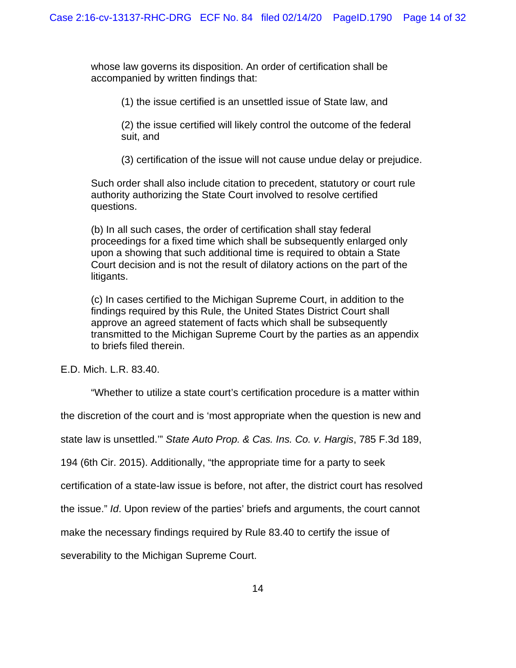whose law governs its disposition. An order of certification shall be accompanied by written findings that:

(1) the issue certified is an unsettled issue of State law, and

(2) the issue certified will likely control the outcome of the federal suit, and

(3) certification of the issue will not cause undue delay or prejudice.

Such order shall also include citation to precedent, statutory or court rule authority authorizing the State Court involved to resolve certified questions.

(b) In all such cases, the order of certification shall stay federal proceedings for a fixed time which shall be subsequently enlarged only upon a showing that such additional time is required to obtain a State Court decision and is not the result of dilatory actions on the part of the litigants.

(c) In cases certified to the Michigan Supreme Court, in addition to the findings required by this Rule, the United States District Court shall approve an agreed statement of facts which shall be subsequently transmitted to the Michigan Supreme Court by the parties as an appendix to briefs filed therein.

E.D. Mich. L.R. 83.40.

"Whether to utilize a state court's certification procedure is a matter within

the discretion of the court and is 'most appropriate when the question is new and

state law is unsettled.'" *State Auto Prop. & Cas. Ins. Co. v. Hargis*, 785 F.3d 189,

194 (6th Cir. 2015). Additionally, "the appropriate time for a party to seek

certification of a state-law issue is before, not after, the district court has resolved

the issue." *Id*. Upon review of the parties' briefs and arguments, the court cannot

make the necessary findings required by Rule 83.40 to certify the issue of

severability to the Michigan Supreme Court.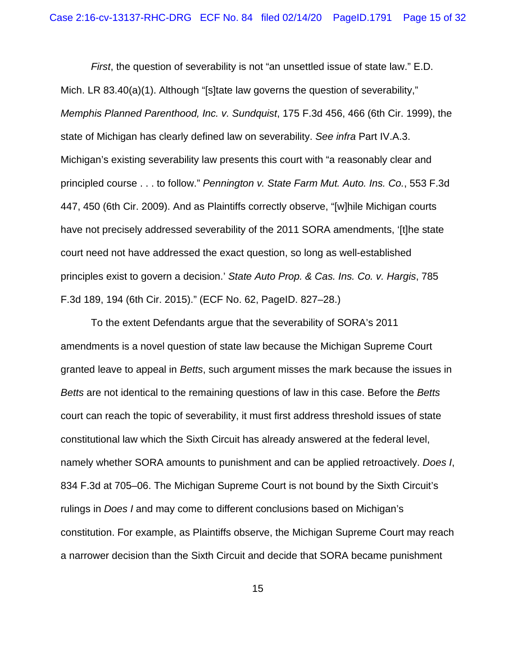*First*, the question of severability is not "an unsettled issue of state law." E.D. Mich. LR 83.40(a)(1). Although "[s]tate law governs the question of severability," *Memphis Planned Parenthood, Inc. v. Sundquist*, 175 F.3d 456, 466 (6th Cir. 1999), the state of Michigan has clearly defined law on severability. *See infra* Part IV.A.3. Michigan's existing severability law presents this court with "a reasonably clear and principled course . . . to follow." *Pennington v. State Farm Mut. Auto. Ins. Co.*, 553 F.3d 447, 450 (6th Cir. 2009). And as Plaintiffs correctly observe, "[w]hile Michigan courts have not precisely addressed severability of the 2011 SORA amendments, '[t]he state court need not have addressed the exact question, so long as well-established principles exist to govern a decision.' *State Auto Prop. & Cas. Ins. Co. v. Hargis*, 785 F.3d 189, 194 (6th Cir. 2015)." (ECF No. 62, PageID. 827–28.)

To the extent Defendants argue that the severability of SORA's 2011 amendments is a novel question of state law because the Michigan Supreme Court granted leave to appeal in *Betts*, such argument misses the mark because the issues in *Betts* are not identical to the remaining questions of law in this case. Before the *Betts* court can reach the topic of severability, it must first address threshold issues of state constitutional law which the Sixth Circuit has already answered at the federal level, namely whether SORA amounts to punishment and can be applied retroactively. *Does I*, 834 F.3d at 705–06. The Michigan Supreme Court is not bound by the Sixth Circuit's rulings in *Does I* and may come to different conclusions based on Michigan's constitution. For example, as Plaintiffs observe, the Michigan Supreme Court may reach a narrower decision than the Sixth Circuit and decide that SORA became punishment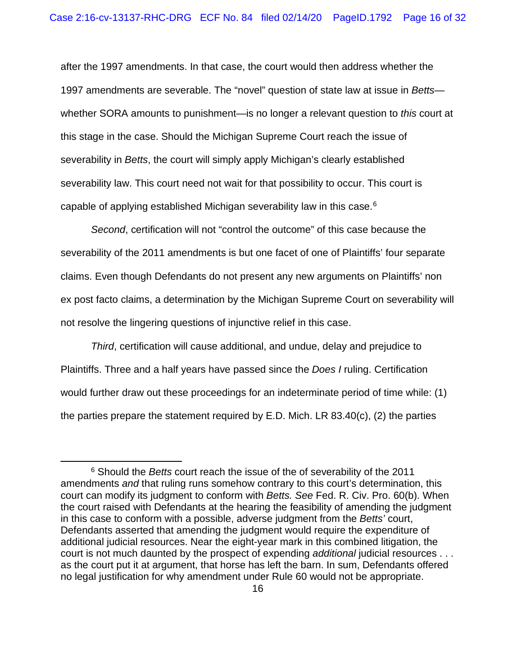after the 1997 amendments. In that case, the court would then address whether the 1997 amendments are severable. The "novel" question of state law at issue in *Betts* whether SORA amounts to punishment—is no longer a relevant question to *this* court at this stage in the case. Should the Michigan Supreme Court reach the issue of severability in *Betts*, the court will simply apply Michigan's clearly established severability law. This court need not wait for that possibility to occur. This court is capable of applying established Michigan severability law in this case.<sup>[6](#page-15-0)</sup>

*Second*, certification will not "control the outcome" of this case because the severability of the 2011 amendments is but one facet of one of Plaintiffs' four separate claims. Even though Defendants do not present any new arguments on Plaintiffs' non ex post facto claims, a determination by the Michigan Supreme Court on severability will not resolve the lingering questions of injunctive relief in this case.

*Third*, certification will cause additional, and undue, delay and prejudice to Plaintiffs. Three and a half years have passed since the *Does I* ruling. Certification would further draw out these proceedings for an indeterminate period of time while: (1) the parties prepare the statement required by E.D. Mich. LR 83.40(c), (2) the parties

<span id="page-15-0"></span><sup>6</sup> Should the *Betts* court reach the issue of the of severability of the 2011 amendments *and* that ruling runs somehow contrary to this court's determination, this court can modify its judgment to conform with *Betts. See* Fed. R. Civ. Pro. 60(b). When the court raised with Defendants at the hearing the feasibility of amending the judgment in this case to conform with a possible, adverse judgment from the *Betts'* court, Defendants asserted that amending the judgment would require the expenditure of additional judicial resources. Near the eight-year mark in this combined litigation, the court is not much daunted by the prospect of expending *additional* judicial resources . . . as the court put it at argument, that horse has left the barn. In sum, Defendants offered no legal justification for why amendment under Rule 60 would not be appropriate.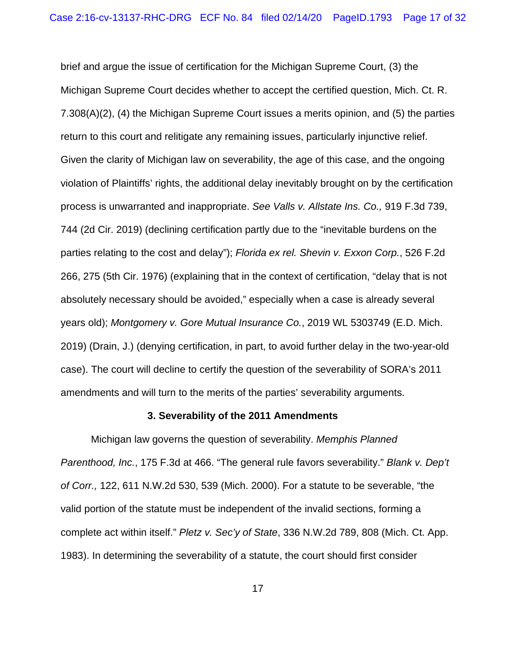brief and argue the issue of certification for the Michigan Supreme Court, (3) the Michigan Supreme Court decides whether to accept the certified question, Mich. Ct. R. 7.308(A)(2), (4) the Michigan Supreme Court issues a merits opinion, and (5) the parties return to this court and relitigate any remaining issues, particularly injunctive relief. Given the clarity of Michigan law on severability, the age of this case, and the ongoing violation of Plaintiffs' rights, the additional delay inevitably brought on by the certification process is unwarranted and inappropriate. *See Valls v. Allstate Ins. Co.,* 919 F.3d 739, 744 (2d Cir. 2019) (declining certification partly due to the "inevitable burdens on the parties relating to the cost and delay"); *Florida ex rel. Shevin v. Exxon Corp.*, 526 F.2d 266, 275 (5th Cir. 1976) (explaining that in the context of certification, "delay that is not absolutely necessary should be avoided," especially when a case is already several years old); *Montgomery v. Gore Mutual Insurance Co.*, 2019 WL 5303749 (E.D. Mich. 2019) (Drain, J.) (denying certification, in part, to avoid further delay in the two-year-old case). The court will decline to certify the question of the severability of SORA's 2011 amendments and will turn to the merits of the parties' severability arguments.

#### **3. Severability of the 2011 Amendments**

Michigan law governs the question of severability. *Memphis Planned Parenthood, Inc.*, 175 F.3d at 466. "The general rule favors severability." *Blank v. Dep't of Corr.,* 122, 611 N.W.2d 530, 539 (Mich. 2000). For a statute to be severable, "the valid portion of the statute must be independent of the invalid sections, forming a complete act within itself." *Pletz v. Sec'y of State*, 336 N.W.2d 789, 808 (Mich. Ct. App. 1983). In determining the severability of a statute, the court should first consider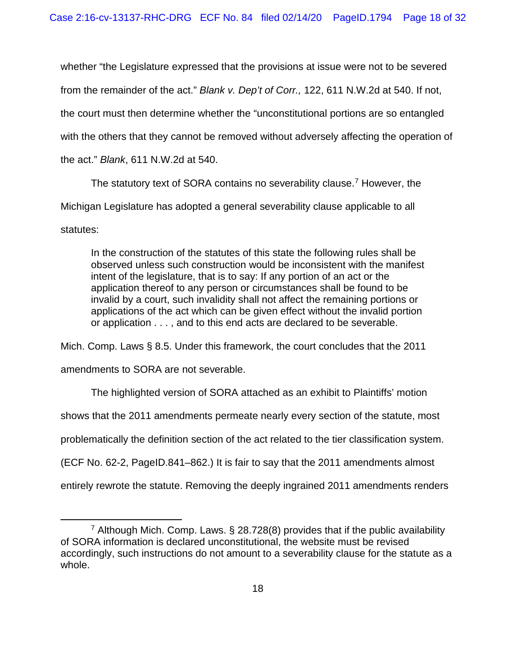whether "the Legislature expressed that the provisions at issue were not to be severed from the remainder of the act." *Blank v. Dep't of Corr.,* 122, 611 N.W.2d at 540. If not, the court must then determine whether the "unconstitutional portions are so entangled with the others that they cannot be removed without adversely affecting the operation of the act." *Blank*, 611 N.W.2d at 540.

The statutory text of SORA contains no severability clause.<sup>[7](#page-17-0)</sup> However, the Michigan Legislature has adopted a general severability clause applicable to all

statutes:

In the construction of the statutes of this state the following rules shall be observed unless such construction would be inconsistent with the manifest intent of the legislature, that is to say: If any portion of an act or the application thereof to any person or circumstances shall be found to be invalid by a court, such invalidity shall not affect the remaining portions or applications of the act which can be given effect without the invalid portion or application . . . , and to this end acts are declared to be severable.

Mich. Comp. Laws § 8.5. Under this framework, the court concludes that the 2011

amendments to SORA are not severable.

The highlighted version of SORA attached as an exhibit to Plaintiffs' motion

shows that the 2011 amendments permeate nearly every section of the statute, most

problematically the definition section of the act related to the tier classification system.

(ECF No. 62-2, PageID.841–862.) It is fair to say that the 2011 amendments almost

entirely rewrote the statute. Removing the deeply ingrained 2011 amendments renders

<span id="page-17-0"></span><sup>7</sup> Although Mich. Comp. Laws. § 28.728(8) provides that if the public availability of SORA information is declared unconstitutional, the website must be revised accordingly, such instructions do not amount to a severability clause for the statute as a whole.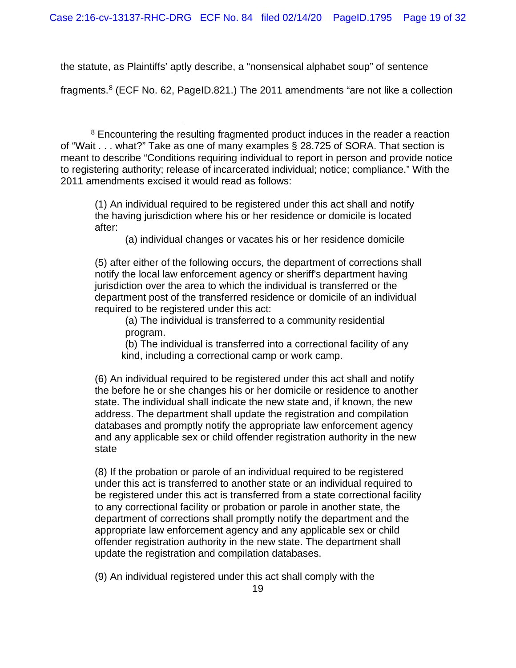the statute, as Plaintiffs' aptly describe, a "nonsensical alphabet soup" of sentence

fragments.[8](#page-18-0) (ECF No. 62, PageID.821.) The 2011 amendments "are not like a collection

(1) An individual required to be registered under this act shall and notify the having jurisdiction where his or her residence or domicile is located after:

(a) individual changes or vacates his or her residence domicile

(5) after either of the following occurs, the department of corrections shall notify the local law enforcement agency or sheriff's department having jurisdiction over the area to which the individual is transferred or the department post of the transferred residence or domicile of an individual required to be registered under this act:

(a) The individual is transferred to a community residential program.

(b) The individual is transferred into a correctional facility of any kind, including a correctional camp or work camp.

(6) An individual required to be registered under this act shall and notify the before he or she changes his or her domicile or residence to another state. The individual shall indicate the new state and, if known, the new address. The department shall update the registration and compilation databases and promptly notify the appropriate law enforcement agency and any applicable sex or child offender registration authority in the new state

(8) If the probation or parole of an individual required to be registered under this act is transferred to another state or an individual required to be registered under this act is transferred from a state correctional facility to any correctional facility or probation or parole in another state, the department of corrections shall promptly notify the department and the appropriate law enforcement agency and any applicable sex or child offender registration authority in the new state. The department shall update the registration and compilation databases.

(9) An individual registered under this act shall comply with the

<span id="page-18-0"></span><sup>&</sup>lt;sup>8</sup> Encountering the resulting fragmented product induces in the reader a reaction of "Wait . . . what?" Take as one of many examples § 28.725 of SORA. That section is meant to describe "Conditions requiring individual to report in person and provide notice to registering authority; release of incarcerated individual; notice; compliance." With the 2011 amendments excised it would read as follows: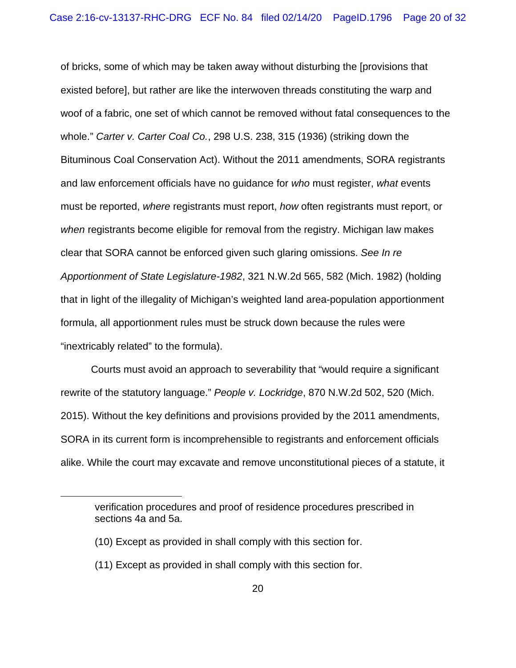of bricks, some of which may be taken away without disturbing the [provisions that existed before], but rather are like the interwoven threads constituting the warp and woof of a fabric, one set of which cannot be removed without fatal consequences to the whole." *Carter v. Carter Coal Co.*, 298 U.S. 238, 315 (1936) (striking down the Bituminous Coal Conservation Act). Without the 2011 amendments, SORA registrants and law enforcement officials have no guidance for *who* must register, *what* events must be reported, *where* registrants must report, *how* often registrants must report, or *when* registrants become eligible for removal from the registry. Michigan law makes clear that SORA cannot be enforced given such glaring omissions. *See In re Apportionment of State Legislature-1982*, 321 N.W.2d 565, 582 (Mich. 1982) (holding that in light of the illegality of Michigan's weighted land area-population apportionment formula, all apportionment rules must be struck down because the rules were "inextricably related" to the formula).

Courts must avoid an approach to severability that "would require a significant rewrite of the statutory language." *People v. Lockridge*, 870 N.W.2d 502, 520 (Mich. 2015). Without the key definitions and provisions provided by the 2011 amendments, SORA in its current form is incomprehensible to registrants and enforcement officials alike. While the court may excavate and remove unconstitutional pieces of a statute, it

verification procedures and proof of residence procedures prescribed in sections 4a and 5a.

<sup>(10)</sup> Except as provided in shall comply with this section for.

<sup>(11)</sup> Except as provided in shall comply with this section for.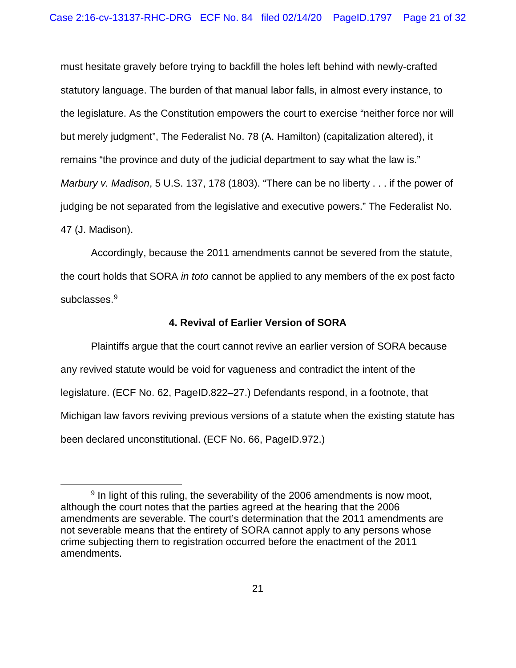must hesitate gravely before trying to backfill the holes left behind with newly-crafted statutory language. The burden of that manual labor falls, in almost every instance, to the legislature. As the Constitution empowers the court to exercise "neither force nor will but merely judgment", The Federalist No. 78 (A. Hamilton) (capitalization altered), it remains "the province and duty of the judicial department to say what the law is." *Marbury v. Madison*, 5 U.S. 137, 178 (1803). "There can be no liberty . . . if the power of judging be not separated from the legislative and executive powers." The Federalist No. 47 (J. Madison).

Accordingly, because the 2011 amendments cannot be severed from the statute, the court holds that SORA *in toto* cannot be applied to any members of the ex post facto subclasses.<sup>[9](#page-20-0)</sup>

### **4. Revival of Earlier Version of SORA**

Plaintiffs argue that the court cannot revive an earlier version of SORA because any revived statute would be void for vagueness and contradict the intent of the legislature. (ECF No. 62, PageID.822–27.) Defendants respond, in a footnote, that Michigan law favors reviving previous versions of a statute when the existing statute has been declared unconstitutional. (ECF No. 66, PageID.972.)

<span id="page-20-0"></span> $9$  In light of this ruling, the severability of the 2006 amendments is now moot, although the court notes that the parties agreed at the hearing that the 2006 amendments are severable. The court's determination that the 2011 amendments are not severable means that the entirety of SORA cannot apply to any persons whose crime subjecting them to registration occurred before the enactment of the 2011 amendments.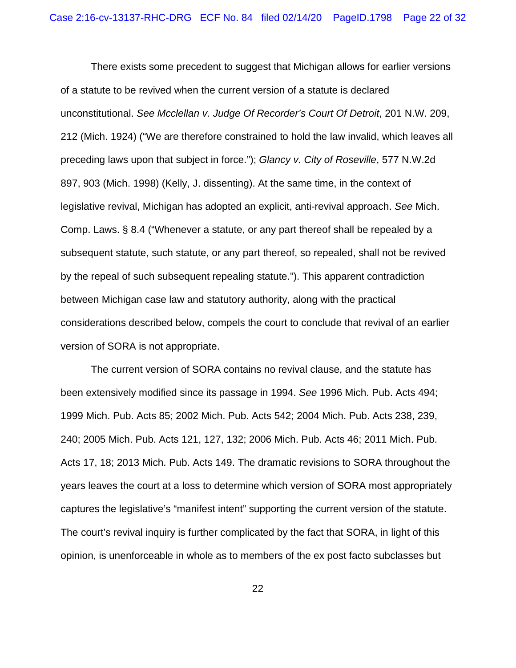There exists some precedent to suggest that Michigan allows for earlier versions of a statute to be revived when the current version of a statute is declared unconstitutional. *See Mcclellan v. Judge Of Recorder's Court Of Detroit*, 201 N.W. 209, 212 (Mich. 1924) ("We are therefore constrained to hold the law invalid, which leaves all preceding laws upon that subject in force."); *Glancy v. City of Roseville*, 577 N.W.2d 897, 903 (Mich. 1998) (Kelly, J. dissenting). At the same time, in the context of legislative revival, Michigan has adopted an explicit, anti-revival approach. *See* Mich. Comp. Laws. § 8.4 ("Whenever a statute, or any part thereof shall be repealed by a subsequent statute, such statute, or any part thereof, so repealed, shall not be revived by the repeal of such subsequent repealing statute."). This apparent contradiction between Michigan case law and statutory authority, along with the practical considerations described below, compels the court to conclude that revival of an earlier version of SORA is not appropriate.

The current version of SORA contains no revival clause, and the statute has been extensively modified since its passage in 1994. *See* 1996 Mich. Pub. Acts 494; 1999 Mich. Pub. Acts 85; 2002 Mich. Pub. Acts 542; 2004 Mich. Pub. Acts 238, 239, 240; 2005 Mich. Pub. Acts 121, 127, 132; 2006 Mich. Pub. Acts 46; 2011 Mich. Pub. Acts 17, 18; 2013 Mich. Pub. Acts 149. The dramatic revisions to SORA throughout the years leaves the court at a loss to determine which version of SORA most appropriately captures the legislative's "manifest intent" supporting the current version of the statute. The court's revival inquiry is further complicated by the fact that SORA, in light of this opinion, is unenforceable in whole as to members of the ex post facto subclasses but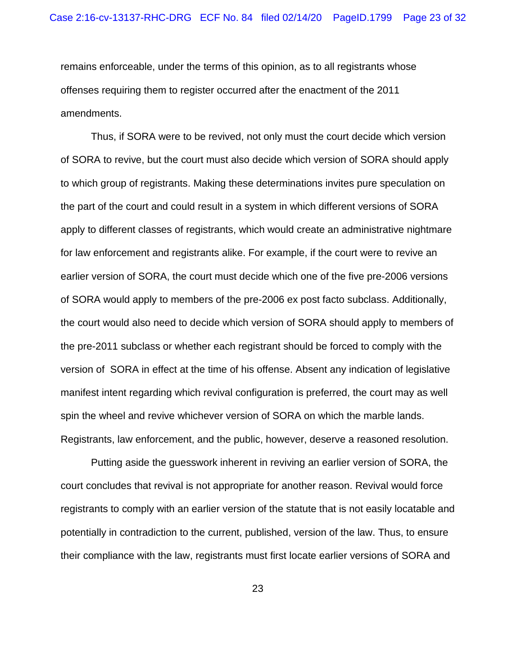remains enforceable, under the terms of this opinion, as to all registrants whose offenses requiring them to register occurred after the enactment of the 2011 amendments.

Thus, if SORA were to be revived, not only must the court decide which version of SORA to revive, but the court must also decide which version of SORA should apply to which group of registrants. Making these determinations invites pure speculation on the part of the court and could result in a system in which different versions of SORA apply to different classes of registrants, which would create an administrative nightmare for law enforcement and registrants alike. For example, if the court were to revive an earlier version of SORA, the court must decide which one of the five pre-2006 versions of SORA would apply to members of the pre-2006 ex post facto subclass. Additionally, the court would also need to decide which version of SORA should apply to members of the pre-2011 subclass or whether each registrant should be forced to comply with the version of SORA in effect at the time of his offense. Absent any indication of legislative manifest intent regarding which revival configuration is preferred, the court may as well spin the wheel and revive whichever version of SORA on which the marble lands. Registrants, law enforcement, and the public, however, deserve a reasoned resolution.

Putting aside the guesswork inherent in reviving an earlier version of SORA, the court concludes that revival is not appropriate for another reason. Revival would force registrants to comply with an earlier version of the statute that is not easily locatable and potentially in contradiction to the current, published, version of the law. Thus, to ensure their compliance with the law, registrants must first locate earlier versions of SORA and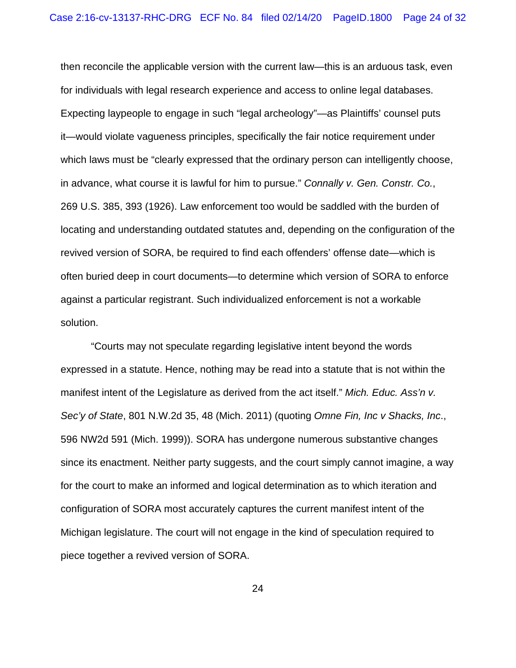then reconcile the applicable version with the current law—this is an arduous task, even for individuals with legal research experience and access to online legal databases. Expecting laypeople to engage in such "legal archeology"—as Plaintiffs' counsel puts it—would violate vagueness principles, specifically the fair notice requirement under which laws must be "clearly expressed that the ordinary person can intelligently choose, in advance, what course it is lawful for him to pursue." *Connally v. Gen. Constr. Co.*, 269 U.S. 385, 393 (1926). Law enforcement too would be saddled with the burden of locating and understanding outdated statutes and, depending on the configuration of the revived version of SORA, be required to find each offenders' offense date—which is often buried deep in court documents—to determine which version of SORA to enforce against a particular registrant. Such individualized enforcement is not a workable solution.

"Courts may not speculate regarding legislative intent beyond the words expressed in a statute. Hence, nothing may be read into a statute that is not within the manifest intent of the Legislature as derived from the act itself." *Mich. Educ. Ass'n v. Sec'y of State*, 801 N.W.2d 35, 48 (Mich. 2011) (quoting *Omne Fin, Inc v Shacks, Inc*., 596 NW2d 591 (Mich. 1999)). SORA has undergone numerous substantive changes since its enactment. Neither party suggests, and the court simply cannot imagine, a way for the court to make an informed and logical determination as to which iteration and configuration of SORA most accurately captures the current manifest intent of the Michigan legislature. The court will not engage in the kind of speculation required to piece together a revived version of SORA.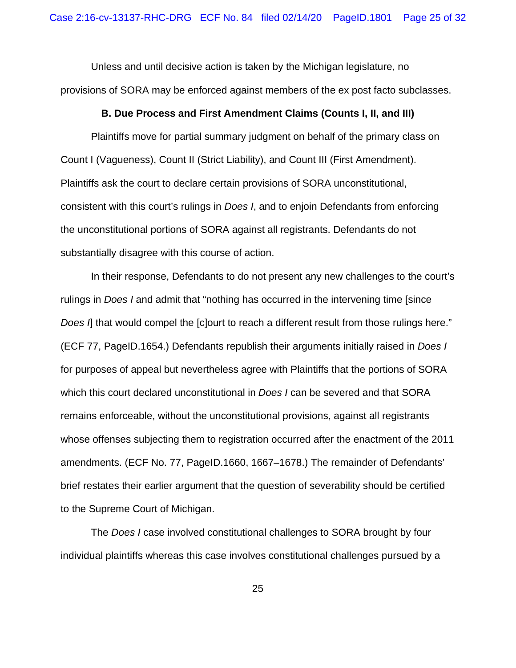Unless and until decisive action is taken by the Michigan legislature, no provisions of SORA may be enforced against members of the ex post facto subclasses.

## **B. Due Process and First Amendment Claims (Counts I, II, and III)**

Plaintiffs move for partial summary judgment on behalf of the primary class on Count I (Vagueness), Count II (Strict Liability), and Count III (First Amendment). Plaintiffs ask the court to declare certain provisions of SORA unconstitutional, consistent with this court's rulings in *Does I*, and to enjoin Defendants from enforcing the unconstitutional portions of SORA against all registrants. Defendants do not substantially disagree with this course of action.

In their response, Defendants to do not present any new challenges to the court's rulings in *Does I* and admit that "nothing has occurred in the intervening time [since *Does I*] that would compel the [c]ourt to reach a different result from those rulings here." (ECF 77, PageID.1654.) Defendants republish their arguments initially raised in *Does I* for purposes of appeal but nevertheless agree with Plaintiffs that the portions of SORA which this court declared unconstitutional in *Does I* can be severed and that SORA remains enforceable, without the unconstitutional provisions, against all registrants whose offenses subjecting them to registration occurred after the enactment of the 2011 amendments. (ECF No. 77, PageID.1660, 1667–1678.) The remainder of Defendants' brief restates their earlier argument that the question of severability should be certified to the Supreme Court of Michigan.

The *Does I* case involved constitutional challenges to SORA brought by four individual plaintiffs whereas this case involves constitutional challenges pursued by a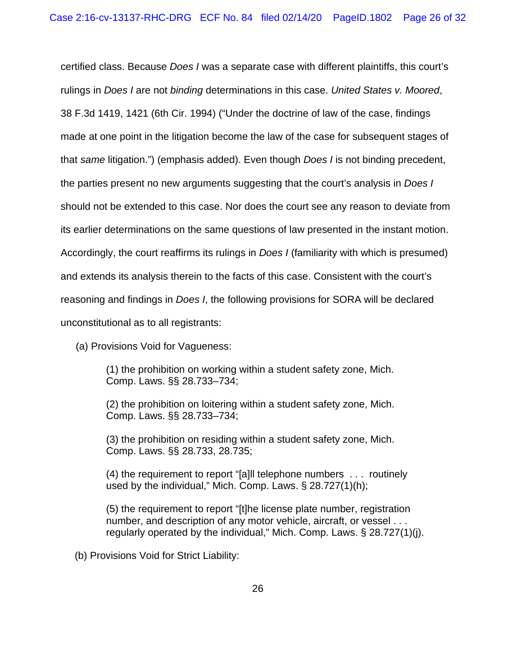certified class. Because *Does I* was a separate case with different plaintiffs, this court's rulings in *Does I* are not *binding* determinations in this case. *United States v. Moored*, 38 F.3d 1419, 1421 (6th Cir. 1994) ("Under the doctrine of law of the case, findings made at one point in the litigation become the law of the case for subsequent stages of that *same* litigation.") (emphasis added). Even though *Does I* is not binding precedent, the parties present no new arguments suggesting that the court's analysis in *Does I* should not be extended to this case. Nor does the court see any reason to deviate from its earlier determinations on the same questions of law presented in the instant motion. Accordingly, the court reaffirms its rulings in *Does I* (familiarity with which is presumed) and extends its analysis therein to the facts of this case. Consistent with the court's reasoning and findings in *Does I*, the following provisions for SORA will be declared unconstitutional as to all registrants:

(a) Provisions Void for Vagueness:

(1) the prohibition on working within a student safety zone, Mich. Comp. Laws. §§ 28.733–734;

(2) the prohibition on loitering within a student safety zone, Mich. Comp. Laws. §§ 28.733–734;

(3) the prohibition on residing within a student safety zone, Mich. Comp. Laws. §§ 28.733, 28.735;

(4) the requirement to report "[a]ll telephone numbers . . . routinely used by the individual," Mich. Comp. Laws. § 28.727(1)(h);

(5) the requirement to report "[t]he license plate number, registration number, and description of any motor vehicle, aircraft, or vessel . . . regularly operated by the individual," Mich. Comp. Laws. § 28.727(1)(j).

(b) Provisions Void for Strict Liability: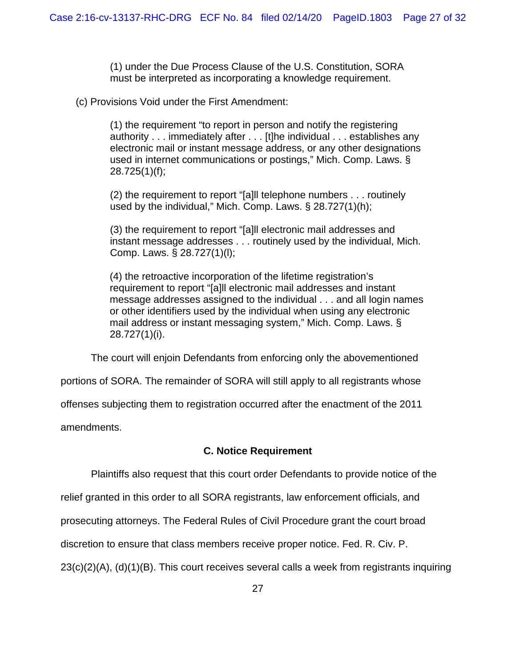(1) under the Due Process Clause of the U.S. Constitution, SORA must be interpreted as incorporating a knowledge requirement.

(c) Provisions Void under the First Amendment:

(1) the requirement "to report in person and notify the registering authority . . . immediately after . . . [t]he individual . . . establishes any electronic mail or instant message address, or any other designations used in internet communications or postings," Mich. Comp. Laws. § 28.725(1)(f);

(2) the requirement to report "[a]ll telephone numbers . . . routinely used by the individual," Mich. Comp. Laws. § 28.727(1)(h);

(3) the requirement to report "[a]ll electronic mail addresses and instant message addresses . . . routinely used by the individual, Mich. Comp. Laws. § 28.727(1)(l);

(4) the retroactive incorporation of the lifetime registration's requirement to report "[a]ll electronic mail addresses and instant message addresses assigned to the individual . . . and all login names or other identifiers used by the individual when using any electronic mail address or instant messaging system," Mich. Comp. Laws. § 28.727(1)(i).

The court will enjoin Defendants from enforcing only the abovementioned

portions of SORA. The remainder of SORA will still apply to all registrants whose

offenses subjecting them to registration occurred after the enactment of the 2011

amendments.

## **C. Notice Requirement**

Plaintiffs also request that this court order Defendants to provide notice of the

relief granted in this order to all SORA registrants, law enforcement officials, and

prosecuting attorneys. The Federal Rules of Civil Procedure grant the court broad

discretion to ensure that class members receive proper notice. Fed. R. Civ. P.

23(c)(2)(A), (d)(1)(B). This court receives several calls a week from registrants inquiring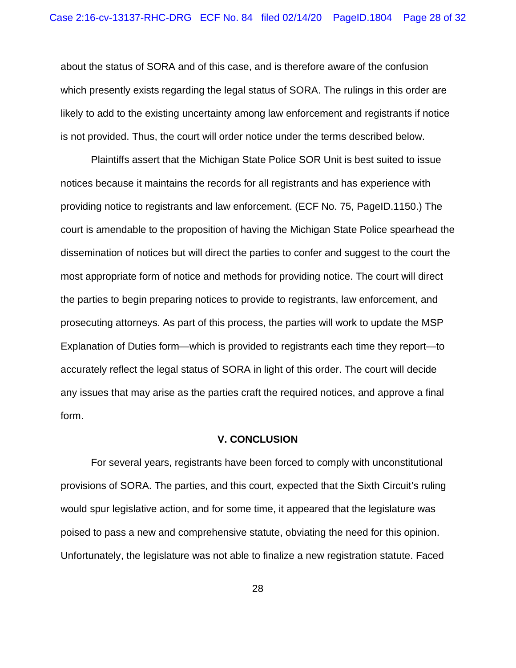about the status of SORA and of this case, and is therefore aware of the confusion which presently exists regarding the legal status of SORA. The rulings in this order are likely to add to the existing uncertainty among law enforcement and registrants if notice is not provided. Thus, the court will order notice under the terms described below.

Plaintiffs assert that the Michigan State Police SOR Unit is best suited to issue notices because it maintains the records for all registrants and has experience with providing notice to registrants and law enforcement. (ECF No. 75, PageID.1150.) The court is amendable to the proposition of having the Michigan State Police spearhead the dissemination of notices but will direct the parties to confer and suggest to the court the most appropriate form of notice and methods for providing notice. The court will direct the parties to begin preparing notices to provide to registrants, law enforcement, and prosecuting attorneys. As part of this process, the parties will work to update the MSP Explanation of Duties form—which is provided to registrants each time they report—to accurately reflect the legal status of SORA in light of this order. The court will decide any issues that may arise as the parties craft the required notices, and approve a final form.

#### **V. CONCLUSION**

For several years, registrants have been forced to comply with unconstitutional provisions of SORA. The parties, and this court, expected that the Sixth Circuit's ruling would spur legislative action, and for some time, it appeared that the legislature was poised to pass a new and comprehensive statute, obviating the need for this opinion. Unfortunately, the legislature was not able to finalize a new registration statute. Faced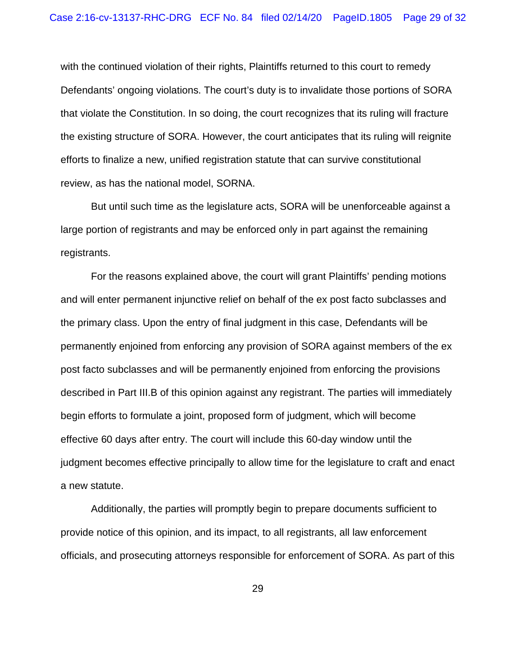with the continued violation of their rights, Plaintiffs returned to this court to remedy Defendants' ongoing violations. The court's duty is to invalidate those portions of SORA that violate the Constitution. In so doing, the court recognizes that its ruling will fracture the existing structure of SORA. However, the court anticipates that its ruling will reignite efforts to finalize a new, unified registration statute that can survive constitutional review, as has the national model, SORNA.

But until such time as the legislature acts, SORA will be unenforceable against a large portion of registrants and may be enforced only in part against the remaining registrants.

For the reasons explained above, the court will grant Plaintiffs' pending motions and will enter permanent injunctive relief on behalf of the ex post facto subclasses and the primary class. Upon the entry of final judgment in this case, Defendants will be permanently enjoined from enforcing any provision of SORA against members of the ex post facto subclasses and will be permanently enjoined from enforcing the provisions described in Part III.B of this opinion against any registrant. The parties will immediately begin efforts to formulate a joint, proposed form of judgment, which will become effective 60 days after entry. The court will include this 60-day window until the judgment becomes effective principally to allow time for the legislature to craft and enact a new statute.

Additionally, the parties will promptly begin to prepare documents sufficient to provide notice of this opinion, and its impact, to all registrants, all law enforcement officials, and prosecuting attorneys responsible for enforcement of SORA. As part of this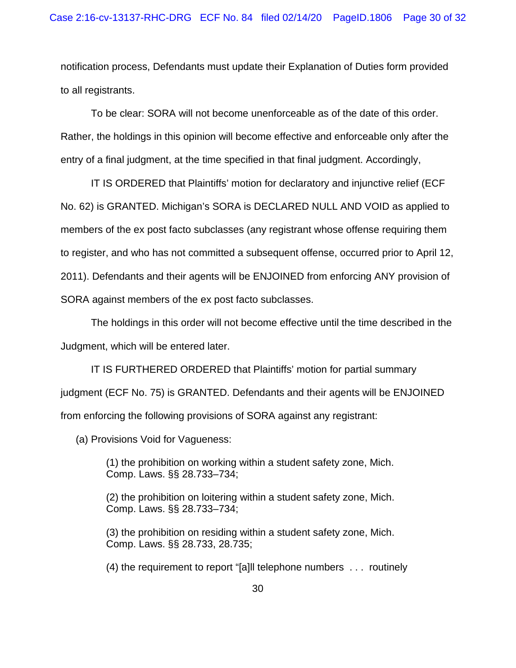notification process, Defendants must update their Explanation of Duties form provided to all registrants.

To be clear: SORA will not become unenforceable as of the date of this order. Rather, the holdings in this opinion will become effective and enforceable only after the entry of a final judgment, at the time specified in that final judgment. Accordingly,

IT IS ORDERED that Plaintiffs' motion for declaratory and injunctive relief (ECF No. 62) is GRANTED. Michigan's SORA is DECLARED NULL AND VOID as applied to members of the ex post facto subclasses (any registrant whose offense requiring them to register, and who has not committed a subsequent offense, occurred prior to April 12, 2011). Defendants and their agents will be ENJOINED from enforcing ANY provision of SORA against members of the ex post facto subclasses.

The holdings in this order will not become effective until the time described in the Judgment, which will be entered later.

IT IS FURTHERED ORDERED that Plaintiffs' motion for partial summary judgment (ECF No. 75) is GRANTED. Defendants and their agents will be ENJOINED from enforcing the following provisions of SORA against any registrant:

(a) Provisions Void for Vagueness:

(1) the prohibition on working within a student safety zone, Mich. Comp. Laws. §§ 28.733–734;

(2) the prohibition on loitering within a student safety zone, Mich. Comp. Laws. §§ 28.733–734;

(3) the prohibition on residing within a student safety zone, Mich. Comp. Laws. §§ 28.733, 28.735;

(4) the requirement to report "[a]ll telephone numbers . . . routinely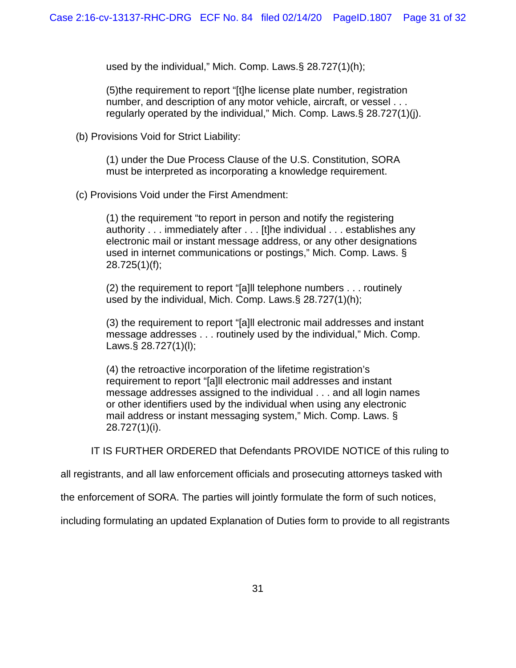used by the individual," Mich. Comp. Laws.§ 28.727(1)(h);

(5)the requirement to report "[t]he license plate number, registration number, and description of any motor vehicle, aircraft, or vessel . . . regularly operated by the individual," Mich. Comp. Laws.§ 28.727(1)(j).

(b) Provisions Void for Strict Liability:

(1) under the Due Process Clause of the U.S. Constitution, SORA must be interpreted as incorporating a knowledge requirement.

(c) Provisions Void under the First Amendment:

(1) the requirement "to report in person and notify the registering authority . . . immediately after . . . [t]he individual . . . establishes any electronic mail or instant message address, or any other designations used in internet communications or postings," Mich. Comp. Laws. § 28.725(1)(f);

(2) the requirement to report "[a]ll telephone numbers . . . routinely used by the individual, Mich. Comp. Laws.§ 28.727(1)(h);

(3) the requirement to report "[a]ll electronic mail addresses and instant message addresses . . . routinely used by the individual," Mich. Comp. Laws.§ 28.727(1)(l);

(4) the retroactive incorporation of the lifetime registration's requirement to report "[a]ll electronic mail addresses and instant message addresses assigned to the individual . . . and all login names or other identifiers used by the individual when using any electronic mail address or instant messaging system," Mich. Comp. Laws. § 28.727(1)(i).

IT IS FURTHER ORDERED that Defendants PROVIDE NOTICE of this ruling to

all registrants, and all law enforcement officials and prosecuting attorneys tasked with

the enforcement of SORA. The parties will jointly formulate the form of such notices,

including formulating an updated Explanation of Duties form to provide to all registrants